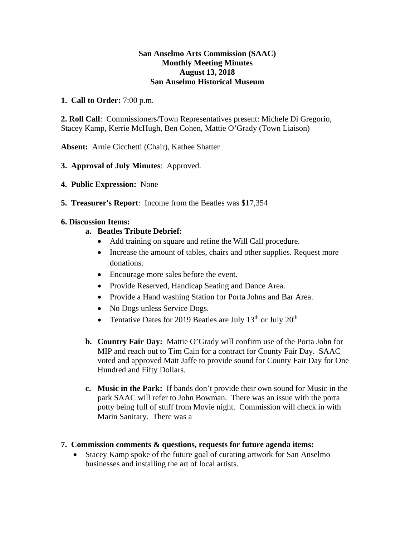## **San Anselmo Arts Commission (SAAC) Monthly Meeting Minutes August 13, 2018 San Anselmo Historical Museum**

## **1. Call to Order:** 7:00 p.m.

**2. Roll Call**: Commissioners/Town Representatives present: Michele Di Gregorio, Stacey Kamp, Kerrie McHugh, Ben Cohen, Mattie O'Grady (Town Liaison)

**Absent:** Arnie Cicchetti (Chair), Kathee Shatter

- **3. Approval of July Minutes**: Approved.
- **4. Public Expression:** None
- **5. Treasurer's Report**: Income from the Beatles was \$17,354

## **6. Discussion Items:**

- **a. Beatles Tribute Debrief:** 
	- Add training on square and refine the Will Call procedure.
	- Increase the amount of tables, chairs and other supplies. Request more donations.
	- Encourage more sales before the event.
	- Provide Reserved, Handicap Seating and Dance Area.
	- Provide a Hand washing Station for Porta Johns and Bar Area.
	- No Dogs unless Service Dogs.
	- Tentative Dates for 2019 Beatles are July  $13^{th}$  or July  $20^{th}$
- **b. Country Fair Day:** Mattie O'Grady will confirm use of the Porta John for MIP and reach out to Tim Cain for a contract for County Fair Day. SAAC voted and approved Matt Jaffe to provide sound for County Fair Day for One Hundred and Fifty Dollars.
- **c. Music in the Park:** If bands don't provide their own sound for Music in the park SAAC will refer to John Bowman. There was an issue with the porta potty being full of stuff from Movie night. Commission will check in with Marin Sanitary. There was a
- **7. Commission comments & questions, requests for future agenda items:** 
	- Stacey Kamp spoke of the future goal of curating artwork for San Anselmo businesses and installing the art of local artists.